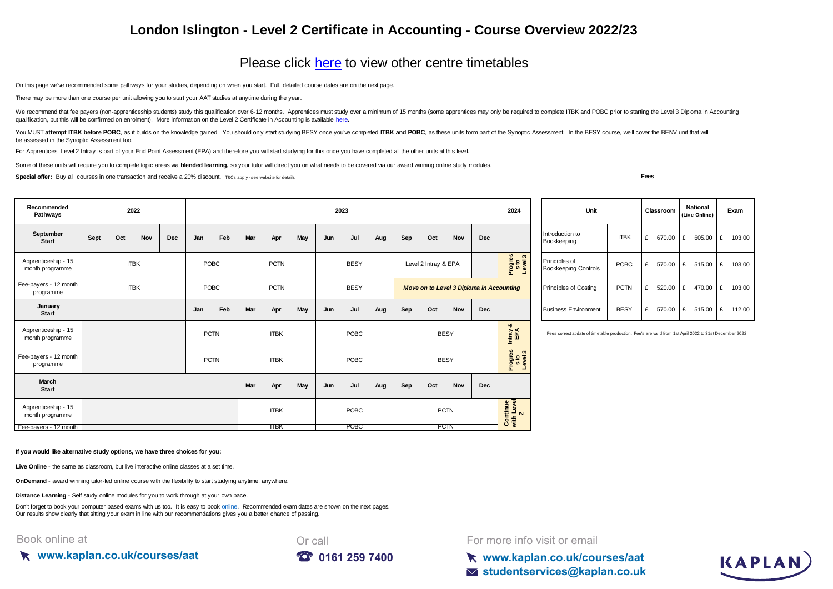## **London Islington - Level 2 Certificate in Accounting - Course Overview 2022/23**

## [Please click here](https://kaplan.co.uk/courses/timetables/aat) to view other centre timetables

On this page we've recommended some pathways for your studies, depending on when you start. Full, detailed course dates are on the next page.

There may be more than one course per unit allowing you to start your AAT studies at anytime during the year.

[We recommend that fee p](https://kaplan.co.uk/courses/aat)ayers (non-apprenticeship students) study this qualification over 6-12 months. Apprentices must study over a minimum of 15 months (some apprentices may only be required to complete ITBK and POBC prio [qualification, but this will be confirmed on enrolment\). More information on the Level 2 Certificate in Accounting is available here.](https://kaplan.co.uk/courses/aat)

You MUST attempt ITBK before POBC, as it builds on the knowledge gained. You should only start studying BESY once you've completed ITBK and POBC, as these units form part of the Synoptic Assessment. In the BESY course, we' be assessed in the Synoptic Assessment too.

For Apprentices, Level 2 Intray is part of your End Point Assessment (EPA) and therefore you will start studying for this once you have completed all the other units at this level.

Some of these units will require you to complete topic areas via **blended learning**, so your tutor will direct you on what needs to be covered via our award winning online study modules.

**Special offer:** Buy all courses in one transaction and receive a 20% discount. T&Cs apply-see website for details

**Fees**

| Recommended<br>Pathways                | 2022        |     |     |                                    |      | 2023        |                      |             |      |             |                                          |     | 2024                                         |                    | Unit        |                                                                                                         |                           | Classroom |                                | <b>National</b><br>(Live Online) |   | Exam   |   |        |       |          |
|----------------------------------------|-------------|-----|-----|------------------------------------|------|-------------|----------------------|-------------|------|-------------|------------------------------------------|-----|----------------------------------------------|--------------------|-------------|---------------------------------------------------------------------------------------------------------|---------------------------|-----------|--------------------------------|----------------------------------|---|--------|---|--------|-------|----------|
| September<br><b>Start</b>              | Sept        | Oct | Nov | Dec                                | Jan  | Feb         | Mar                  | Apr         | May  | Jun         | Jul                                      | Aug | Sep                                          | Oct                | Nov         | Dec                                                                                                     |                           |           | Introduction to<br>Bookkeeping | <b>ITBK</b>                      | £ | 670.00 | £ | 605.00 | $-1E$ | 103.00   |
| Apprenticeship - 15<br>month programme | <b>ITBK</b> |     |     | POBC<br><b>PCTN</b><br><b>BESY</b> |      |             | Level 2 Intray & EPA |             |      |             | Progres<br>sto<br>Level3                 |     | Principles of<br><b>Bookkeeping Controls</b> | POBC               | £           | 570.00                                                                                                  | £                         | 515.00    | E                              | 103.00                           |   |        |   |        |       |          |
| Fee-payers - 12 month<br>programme     | <b>ITBK</b> |     |     |                                    | POBC |             | <b>PCTN</b>          |             |      | <b>BESY</b> | Move on to Level 3 Diploma in Accounting |     |                                              |                    |             | <b>PCTN</b><br><b>Principles of Costing</b>                                                             |                           |           | £                              | 520.00                           | £ | 470.00 | £ | 103.00 |       |          |
| January<br><b>Start</b>                |             |     |     |                                    | Jan  | Feb         | Mar                  | Apr         | May  | Jun         | Jul                                      | Aug | Sep                                          | Oct                | Nov         | Dec                                                                                                     |                           |           | <b>Business Environment</b>    | <b>BESY</b>                      | £ | 570.00 | £ | 515.00 |       | £ 112.00 |
| Apprenticeship - 15<br>month programme | <b>PCTN</b> |     |     |                                    |      | <b>ITBK</b> |                      |             | POBC |             | <b>BESY</b>                              |     |                                              | ಯ<br>Intray<br>EPA |             | Fees correct at date of timetable production. Fee's are valid from 1st April 2022 to 31st December 2022 |                           |           |                                |                                  |   |        |   |        |       |          |
| Fee-payers - 12 month<br>programme     |             |     |     |                                    |      | <b>PCTN</b> |                      | <b>ITBK</b> |      |             | POBC                                     |     |                                              |                    | <b>BESY</b> |                                                                                                         | Progres<br>sto<br>Level 3 |           |                                |                                  |   |        |   |        |       |          |
| March<br><b>Start</b>                  |             |     |     |                                    |      |             | Mar                  | Apr         | May  | Jun         | Jul                                      | Aug | Sep                                          | Oct                | Nov         | <b>Dec</b>                                                                                              |                           |           |                                |                                  |   |        |   |        |       |          |
| Apprenticeship - 15<br>month programme |             |     |     |                                    |      |             |                      | <b>ITBK</b> |      |             | POBC                                     |     |                                              |                    | <b>PCTN</b> |                                                                                                         | Continue<br>with Level    |           |                                |                                  |   |        |   |        |       |          |
| Fee-pavers - 12 month                  |             |     |     |                                    |      |             |                      | <b>ITBK</b> |      |             | <b>POBC</b>                              |     |                                              |                    | <b>PCTN</b> |                                                                                                         |                           |           |                                |                                  |   |        |   |        |       |          |

| Unit                                         |             |   | Classroom |   | <b>National</b><br>(Live Online) | Exam |        |  |  |
|----------------------------------------------|-------------|---|-----------|---|----------------------------------|------|--------|--|--|
| Introduction to<br>Bookkeeping               | <b>ITBK</b> | £ | 670.00    | £ | 605.00                           | £    | 103.00 |  |  |
| Principles of<br><b>Bookkeeping Controls</b> | <b>POBC</b> | £ | 570.00    | £ | 515.00                           | £    | 103.00 |  |  |
| <b>Principles of Costing</b>                 | <b>PCTN</b> | £ | 520.00    | £ | 470.00                           | £    | 103.00 |  |  |
| <b>Business Environment</b>                  | <b>BESY</b> | £ | 570.00    | £ | 515.00                           | £    | 112.00 |  |  |

**If you would like alternative study options, we have three choices for you:**

**Live Online** - the same as classroom, but live interactive online classes at a set time.

**OnDemand** - award winning tutor-led online course with the flexibility to start studying anytime, anywhere.

**Distance Learning** - Self study online modules for you to work through at your own pace.

[Don't forget to book your computer based exams with us too. It is easy to book online.](https://kaplan.co.uk/exams) Recommended exam dates are shown on the next pages. [Our results show clearly th](https://kaplan.co.uk/exams)at sitting your exam in line with our recommendations gives you a better chance of passing.

Book online at





For more info visit or email

**www.kaplan.co.uk/courses/aat studentservices@kaplan.co.uk**